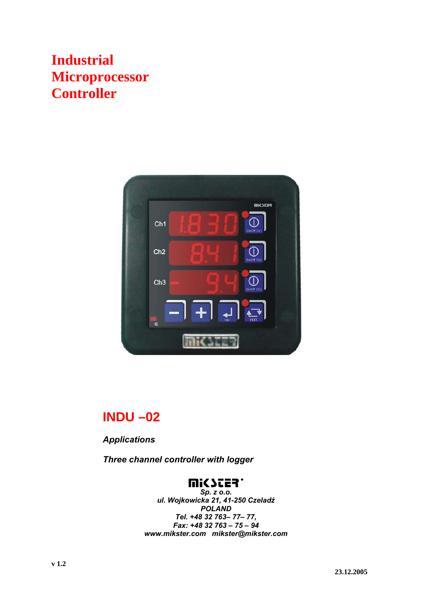# **Industrial Microprocessor Controller**



## **INDU –02**

*Applications* 

*Three channel controller with logger* 

### **WICZES.**

*Sp. z o.o. ul. Wojkowicka 21, 41-250 Czeladź POLAND Tel. +48 32 763– 77– 77, Fax: +48 32 763 – 75 – 94 www.mikster.com mikster@mikster.com*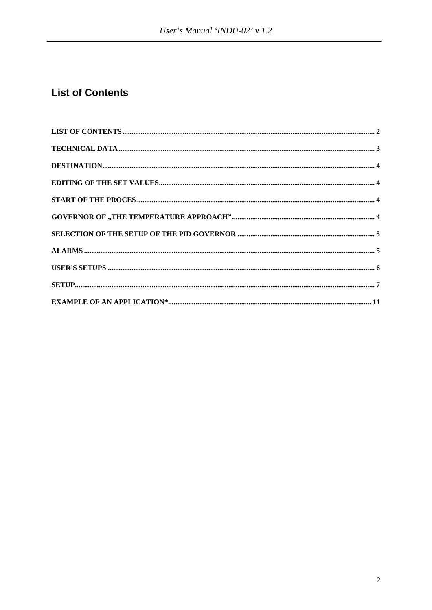### **List of Contents**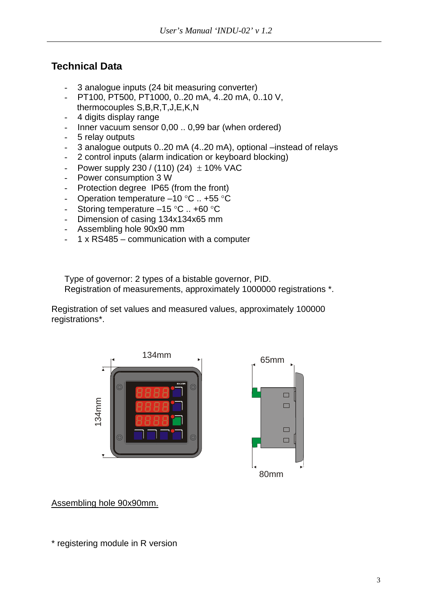### **Technical Data**

- 3 analogue inputs (24 bit measuring converter)
- PT100, PT500, PT1000, 0..20 mA, 4..20 mA, 0..10 V, thermocouples S,B,R,T,J,E,K,N
- 4 digits display range
- Inner vacuum sensor 0,00 .. 0,99 bar (when ordered)
- 5 relay outputs
- 3 analogue outputs 0..20 mA (4..20 mA), optional –instead of relays
- 2 control inputs (alarm indication or keyboard blocking)
- Power supply 230 / (110) (24)  $\pm$  10% VAC
- Power consumption 3 W
- Protection degree IP65 (from the front)
- Operation temperature –10 °C .. +55 °C
- Storing temperature –15 °C .. +60 °C
- Dimension of casing 134x134x65 mm
- Assembling hole 90x90 mm
- $1 \times$  RS485 communication with a computer

Type of governor: 2 types of a bistable governor, PID. Registration of measurements, approximately 1000000 registrations \*.

Registration of set values and measured values, approximately 100000 registrations\*.





Assembling hole 90x90mm.

\* registering module in R version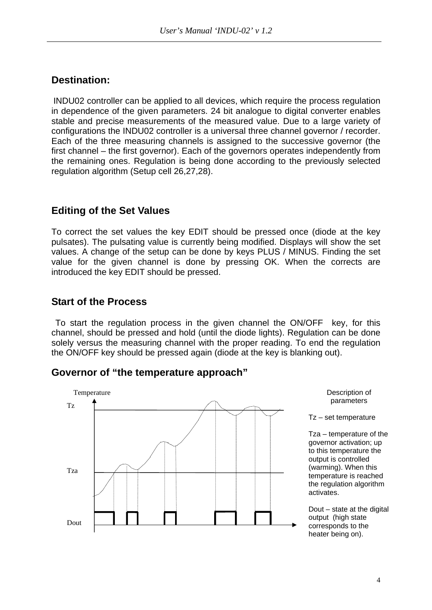### **Destination:**

INDU02 controller can be applied to all devices, which require the process regulation in dependence of the given parameters. 24 bit analogue to digital converter enables stable and precise measurements of the measured value. Due to a large variety of configurations the INDU02 controller is a universal three channel governor / recorder. Each of the three measuring channels is assigned to the successive governor (the first channel – the first governor). Each of the governors operates independently from the remaining ones. Regulation is being done according to the previously selected regulation algorithm (Setup cell 26,27,28).

### **Editing of the Set Values**

To correct the set values the key EDIT should be pressed once (diode at the key pulsates). The pulsating value is currently being modified. Displays will show the set values. A change of the setup can be done by keys PLUS / MINUS. Finding the set value for the given channel is done by pressing OK. When the corrects are introduced the key EDIT should be pressed.

#### **Start of the Process**

 To start the regulation process in the given channel the ON/OFF key, for this channel, should be pressed and hold (until the diode lights). Regulation can be done solely versus the measuring channel with the proper reading. To end the regulation the ON/OFF key should be pressed again (diode at the key is blanking out).

#### **Governor of "the temperature approach"**

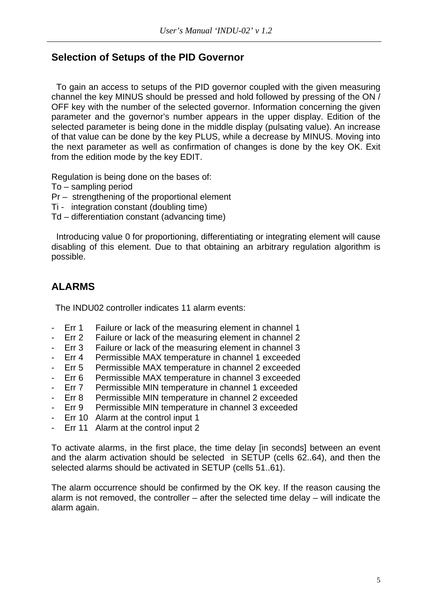### **Selection of Setups of the PID Governor**

 To gain an access to setups of the PID governor coupled with the given measuring channel the key MINUS should be pressed and hold followed by pressing of the ON / OFF key with the number of the selected governor. Information concerning the given parameter and the governor's number appears in the upper display. Edition of the selected parameter is being done in the middle display (pulsating value). An increase of that value can be done by the key PLUS, while a decrease by MINUS. Moving into the next parameter as well as confirmation of changes is done by the key OK. Exit from the edition mode by the key EDIT.

Regulation is being done on the bases of:

To – sampling period

- Pr strengthening of the proportional element
- Ti integration constant (doubling time)
- Td differentiation constant (advancing time)

 Introducing value 0 for proportioning, differentiating or integrating element will cause disabling of this element. Due to that obtaining an arbitrary regulation algorithm is possible.

### **ALARMS**

The INDU02 controller indicates 11 alarm events:

- Err 1 Failure or lack of the measuring element in channel 1
- Err 2 Failure or lack of the measuring element in channel 2
- Err 3 Failure or lack of the measuring element in channel 3
- Err 4 Permissible MAX temperature in channel 1 exceeded
- Err 5 Permissible MAX temperature in channel 2 exceeded
- Err 6 Permissible MAX temperature in channel 3 exceeded
- Err 7 Permissible MIN temperature in channel 1 exceeded
- Err 8 Permissible MIN temperature in channel 2 exceeded
- Err 9 Permissible MIN temperature in channel 3 exceeded
- Err 10 Alarm at the control input 1
- Err 11 Alarm at the control input 2

To activate alarms, in the first place, the time delay [in seconds] between an event and the alarm activation should be selected in SETUP (cells 62..64), and then the selected alarms should be activated in SETUP (cells 51..61).

The alarm occurrence should be confirmed by the OK key. If the reason causing the alarm is not removed, the controller – after the selected time delay – will indicate the alarm again.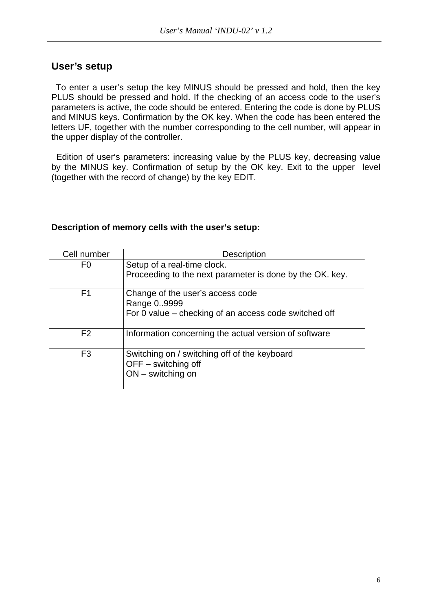#### **User's setup**

 To enter a user's setup the key MINUS should be pressed and hold, then the key PLUS should be pressed and hold. If the checking of an access code to the user's parameters is active, the code should be entered. Entering the code is done by PLUS and MINUS keys. Confirmation by the OK key. When the code has been entered the letters UF, together with the number corresponding to the cell number, will appear in the upper display of the controller.

 Edition of user's parameters: increasing value by the PLUS key, decreasing value by the MINUS key. Confirmation of setup by the OK key. Exit to the upper level (together with the record of change) by the key EDIT.

#### **Description of memory cells with the user's setup:**

| Cell number    | <b>Description</b>                                       |  |  |
|----------------|----------------------------------------------------------|--|--|
| F0             | Setup of a real-time clock.                              |  |  |
|                | Proceeding to the next parameter is done by the OK. key. |  |  |
| F <sub>1</sub> | Change of the user's access code                         |  |  |
|                | Range 09999                                              |  |  |
|                | For 0 value – checking of an access code switched off    |  |  |
| F <sub>2</sub> | Information concerning the actual version of software    |  |  |
| F <sub>3</sub> | Switching on / switching off of the keyboard             |  |  |
|                | $OFF$ – switching off                                    |  |  |
|                | $ON$ – switching on                                      |  |  |
|                |                                                          |  |  |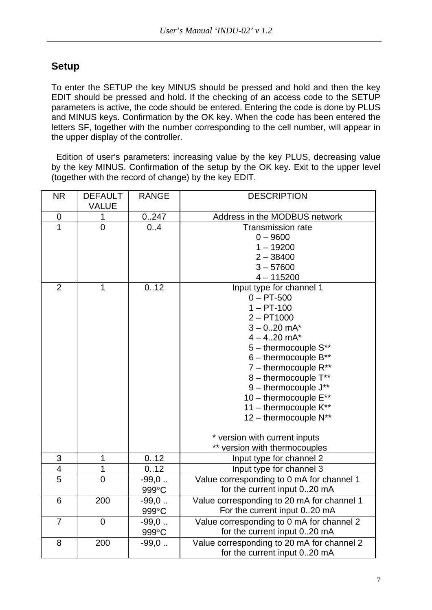### **Setup**

To enter the SETUP the key MINUS should be pressed and hold and then the key EDIT should be pressed and hold. If the checking of an access code to the SETUP parameters is active, the code should be entered. Entering the code is done by PLUS and MINUS keys. Confirmation by the OK key. When the code has been entered the letters SF, together with the number corresponding to the cell number, will appear in the upper display of the controller.

 Edition of user's parameters: increasing value by the key PLUS, decreasing value by the key MINUS. Confirmation of the setup by the OK key. Exit to the upper level (together with the record of change) by the key EDIT.

| <b>NR</b>                 | <b>DEFAULT</b><br><b>VALUE</b> | <b>RANGE</b> | <b>DESCRIPTION</b>                         |
|---------------------------|--------------------------------|--------------|--------------------------------------------|
| $\pmb{0}$                 | 1                              | 0.247        | Address in the MODBUS network              |
| $\overline{1}$            | $\overline{0}$                 | 0.4          | <b>Transmission rate</b>                   |
|                           |                                |              | $0 - 9600$                                 |
|                           |                                |              | $1 - 19200$                                |
|                           |                                |              | $2 - 38400$                                |
|                           |                                |              | $3 - 57600$                                |
|                           |                                |              | $4 - 115200$                               |
| $\overline{2}$            | $\mathbf{1}$                   | 0.12         | Input type for channel 1                   |
|                           |                                |              | $0 - PT - 500$                             |
|                           |                                |              | $1 - PT-100$                               |
|                           |                                |              | $2 - PT1000$                               |
|                           |                                |              | $3 - 0.20$ mA*                             |
|                           |                                |              | $4 - 4.20$ mA*                             |
|                           |                                |              | 5 - thermocouple S**                       |
|                           |                                |              | $6$ – thermocouple $B^{**}$                |
|                           |                                |              | $7$ – thermocouple $R^{**}$                |
|                           |                                |              | 8 - thermocouple T**                       |
|                           |                                |              | 9 - thermocouple J**                       |
|                           |                                |              | 10 - thermocouple E**                      |
|                           |                                |              | 11 - thermocouple K**                      |
|                           |                                |              | 12 - thermocouple N**                      |
|                           |                                |              | * version with current inputs              |
|                           |                                |              | ** version with thermocouples              |
| $\ensuremath{\mathsf{3}}$ | 1                              | 0.12         | Input type for channel 2                   |
| 4                         | 1                              | 0.12         | Input type for channel 3                   |
| $\overline{5}$            | $\overline{0}$                 | $-99,0$      | Value corresponding to 0 mA for channel 1  |
|                           |                                | 999°C        | for the current input 020 mA               |
| 6                         | 200                            | $-99,0$      | Value corresponding to 20 mA for channel 1 |
|                           |                                | 999°C        | For the current input 020 mA               |
| $\overline{7}$            | $\overline{0}$                 | $-99,0$      | Value corresponding to 0 mA for channel 2  |
|                           |                                | 999°C        | for the current input 020 mA               |
| 8                         | 200                            | $-99,0$      | Value corresponding to 20 mA for channel 2 |
|                           |                                |              | for the current input 020 mA               |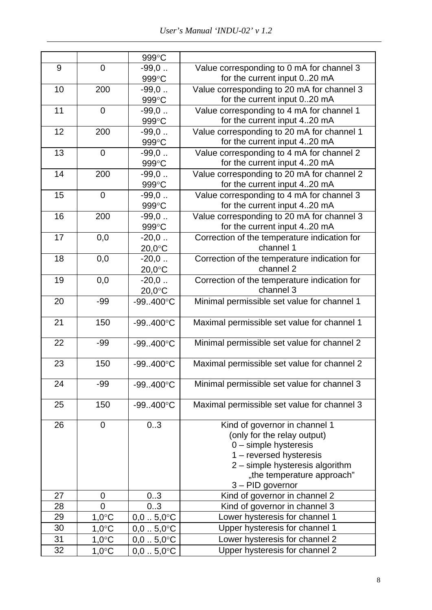|    |                 | 999°C               |                                                                           |
|----|-----------------|---------------------|---------------------------------------------------------------------------|
| 9  | $\overline{0}$  | $-99,0$             | Value corresponding to 0 mA for channel 3                                 |
|    |                 | 999°C               | for the current input 020 mA                                              |
| 10 | 200             | $-99,0$             | Value corresponding to 20 mA for channel 3                                |
|    |                 | 999°C               | for the current input 020 mA                                              |
| 11 | $\mathbf 0$     | $-99,0$             | Value corresponding to 4 mA for channel 1                                 |
|    |                 | 999°C               | for the current input 420 mA                                              |
| 12 | 200             | $-99,0$             | Value corresponding to 20 mA for channel 1                                |
|    |                 | 999°C               | for the current input 420 mA                                              |
| 13 | $\mathbf 0$     | $-99,0$             | Value corresponding to 4 mA for channel 2                                 |
|    |                 | 999°C               | for the current input 420 mA                                              |
| 14 | 200             | $-99,0$             | Value corresponding to 20 mA for channel 2                                |
|    |                 | 999°C               | for the current input 420 mA                                              |
| 15 | $\mathbf 0$     | $-99,0$<br>999°C    | Value corresponding to 4 mA for channel 3<br>for the current input 420 mA |
| 16 | 200             | $-99,0$             | Value corresponding to 20 mA for channel 3                                |
|    |                 | 999°C               | for the current input 420 mA                                              |
| 17 | 0,0             | $-20,0$             | Correction of the temperature indication for                              |
|    |                 | 20,0°C              | channel 1                                                                 |
| 18 | 0,0             | $-20,0$             | Correction of the temperature indication for                              |
|    |                 | $20,0$ °C           | channel 2                                                                 |
| 19 | 0,0             | $-20,0$             | Correction of the temperature indication for                              |
|    |                 | 20,0°C              | channel 3                                                                 |
| 20 | $-99$           | $-99.400^{\circ}$ C | Minimal permissible set value for channel 1                               |
|    |                 |                     |                                                                           |
| 21 | 150             | $-99400^{\circ}C$   | Maximal permissible set value for channel 1                               |
|    |                 |                     |                                                                           |
| 22 | $-99$           | $-99.400^{\circ}$ C | Minimal permissible set value for channel 2                               |
|    |                 |                     |                                                                           |
| 23 | 150             | $-99.400^{\circ}$ C | Maximal permissible set value for channel 2                               |
| 24 | -99             | $-99.400^{\circ}$ C | Minimal permissible set value for channel 3                               |
|    |                 |                     |                                                                           |
| 25 | 150             | $-99.400^{\circ}$ C | Maximal permissible set value for channel 3                               |
|    |                 |                     |                                                                           |
| 26 | $\mathbf 0$     | 0.3                 | Kind of governor in channel 1                                             |
|    |                 |                     | (only for the relay output)                                               |
|    |                 |                     | $0$ – simple hysteresis                                                   |
|    |                 |                     | 1 - reversed hysteresis                                                   |
|    |                 |                     | 2 - simple hysteresis algorithm                                           |
|    |                 |                     | "the temperature approach"                                                |
|    |                 |                     | 3 - PID governor                                                          |
| 27 | 0               | 03                  | Kind of governor in channel 2                                             |
| 28 | 0               | 03                  | Kind of governor in channel 3                                             |
| 29 | $1,0^{\circ}$ C | $0,05,0$ °C         | Lower hysteresis for channel 1                                            |
| 30 | $1,0^{\circ}$ C | $0,05,0$ °C         | Upper hysteresis for channel 1                                            |
| 31 | $1,0^{\circ}$ C | $0,05,0$ °C         | Lower hysteresis for channel 2                                            |
| 32 | $1,0^{\circ}$ C | $0,05,0$ °C         | Upper hysteresis for channel 2                                            |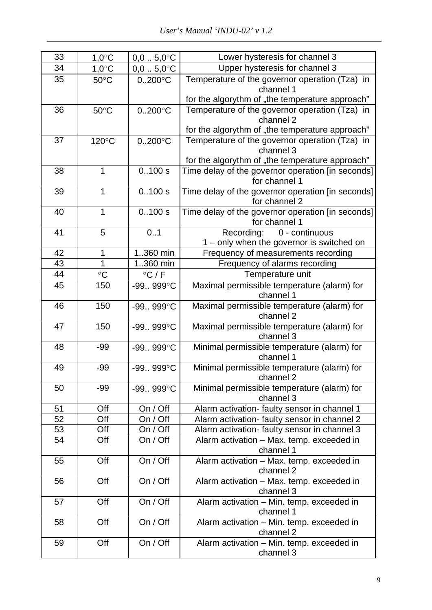| 33 | $1,0^{\circ}$ C | $0,05,0$ °C        | Lower hysteresis for channel 3                                     |
|----|-----------------|--------------------|--------------------------------------------------------------------|
| 34 | $1,0^{\circ}$ C | $0,05,0$ °C        | Upper hysteresis for channel 3                                     |
| 35 | $50^{\circ}$ C  | $0.200^{\circ}$ C  | Temperature of the governor operation (Tza) in<br>channel 1        |
|    |                 |                    | for the algorythm of "the temperature approach"                    |
| 36 | $50^{\circ}$ C  | $0.200$ °C         | Temperature of the governor operation (Tza) in                     |
|    |                 |                    | channel 2                                                          |
|    |                 |                    | for the algorythm of "the temperature approach"                    |
| 37 | 120°C           | $0.200^{\circ}$ C  | Temperature of the governor operation (Tza) in<br>channel 3        |
|    |                 |                    | for the algorythm of "the temperature approach"                    |
| 38 | $\mathbf 1$     | 0.100 s            | Time delay of the governor operation [in seconds]                  |
|    |                 |                    | for channel 1                                                      |
| 39 | 1               | 0.100 s            | Time delay of the governor operation [in seconds]<br>for channel 2 |
| 40 | 1               | 0.100 s            | Time delay of the governor operation [in seconds]                  |
|    |                 |                    | for channel 1                                                      |
| 41 | 5               | 0.1                | Recording: 0 - continuous                                          |
|    |                 |                    | 1 - only when the governor is switched on                          |
| 42 | 1               | 1360 min           | Frequency of measurements recording                                |
| 43 | 1               | 1360 min           | Frequency of alarms recording                                      |
| 44 | $\rm ^{\circ}C$ | $\degree$ C / F    | Temperature unit                                                   |
| 45 | 150             | $-99.999^{\circ}C$ | Maximal permissible temperature (alarm) for                        |
|    |                 |                    | channel 1                                                          |
| 46 | 150             | $-99.999^{\circ}C$ | Maximal permissible temperature (alarm) for                        |
|    |                 |                    | channel 2                                                          |
| 47 | 150             | -99 999°C          | Maximal permissible temperature (alarm) for                        |
|    |                 |                    | channel 3                                                          |
| 48 | $-99$           | $-99.999^{\circ}C$ | Minimal permissible temperature (alarm) for                        |
|    |                 |                    | channel 1                                                          |
| 49 | $-99$           | $-99.999^{\circ}C$ | Minimal permissible temperature (alarm) for<br>channel 2           |
| 50 | $-99$           | $-99.999^{\circ}C$ | Minimal permissible temperature (alarm) for                        |
|    |                 |                    | channel 3                                                          |
| 51 | Off             | On / Off           | Alarm activation- faulty sensor in channel 1                       |
| 52 | Off             | On / Off           | Alarm activation- faulty sensor in channel 2                       |
| 53 | Off             | On / Off           | Alarm activation- faulty sensor in channel 3                       |
| 54 | Off             | On / Off           | Alarm activation - Max. temp. exceeded in<br>channel 1             |
| 55 | Off             | On / Off           | Alarm activation - Max. temp. exceeded in                          |
|    |                 |                    | channel 2                                                          |
| 56 | Off             | On / Off           | Alarm activation - Max. temp. exceeded in<br>channel 3             |
| 57 | Off             | On / Off           | Alarm activation - Min. temp. exceeded in<br>channel 1             |
| 58 | Off             | On / Off           | Alarm activation - Min. temp. exceeded in<br>channel 2             |
|    | Off             | On / Off           |                                                                    |
| 59 |                 |                    | Alarm activation - Min. temp. exceeded in<br>channel 3             |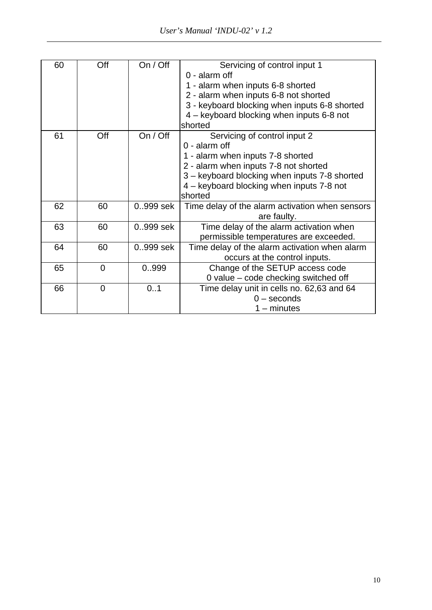| 60 | Off | On / Off  | Servicing of control input 1                    |
|----|-----|-----------|-------------------------------------------------|
|    |     |           | $0 -$ alarm off                                 |
|    |     |           | 1 - alarm when inputs 6-8 shorted               |
|    |     |           | 2 - alarm when inputs 6-8 not shorted           |
|    |     |           | 3 - keyboard blocking when inputs 6-8 shorted   |
|    |     |           | 4 – keyboard blocking when inputs 6-8 not       |
|    |     |           | shorted                                         |
| 61 | Off | On / Off  | Servicing of control input 2                    |
|    |     |           | $0$ - alarm off                                 |
|    |     |           | 1 - alarm when inputs 7-8 shorted               |
|    |     |           | 2 - alarm when inputs 7-8 not shorted           |
|    |     |           | 3 - keyboard blocking when inputs 7-8 shorted   |
|    |     |           | 4 – keyboard blocking when inputs 7-8 not       |
|    |     |           | shorted                                         |
| 62 | 60  | 0.999 sek | Time delay of the alarm activation when sensors |
|    |     |           | are faulty.                                     |
| 63 | 60  | 0.999 sek | Time delay of the alarm activation when         |
|    |     |           | permissible temperatures are exceeded.          |
| 64 | 60  | 0.999 sek | Time delay of the alarm activation when alarm   |
|    |     |           | occurs at the control inputs.                   |
| 65 | 0   | 0999      | Change of the SETUP access code                 |
|    |     |           | 0 value - code checking switched off            |
| 66 | 0   | 0.1       | Time delay unit in cells no. 62,63 and 64       |
|    |     |           | $0$ – seconds                                   |
|    |     |           | $1 -$ minutes                                   |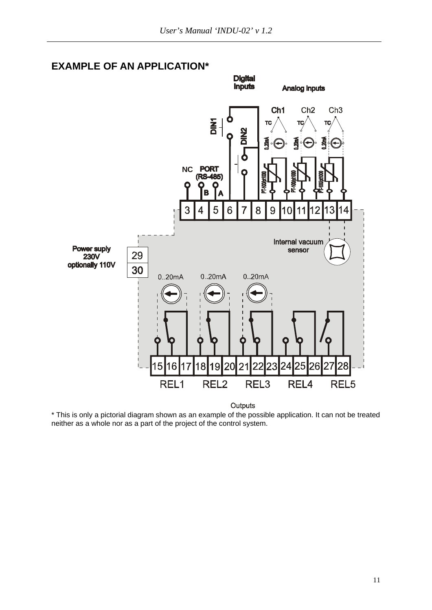

#### **EXAMPLE OF AN APPLICATION\***

Outputs

\* This is only a pictorial diagram shown as an example of the possible application. It can not be treated neither as a whole nor as a part of the project of the control system.